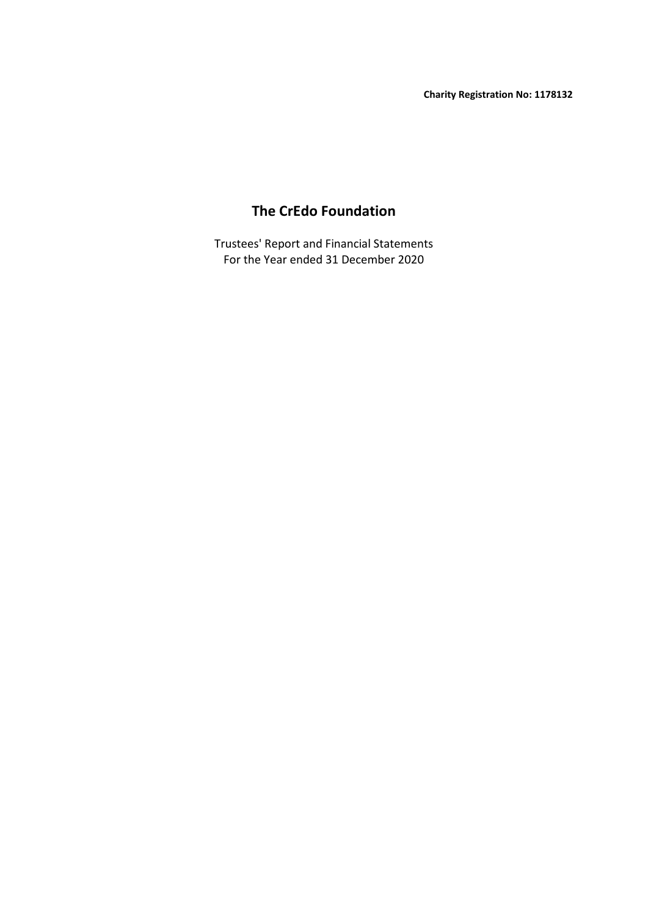# **The CrEdo Foundation**

For the Year ended 31 December 2020 Trustees' Report and Financial Statements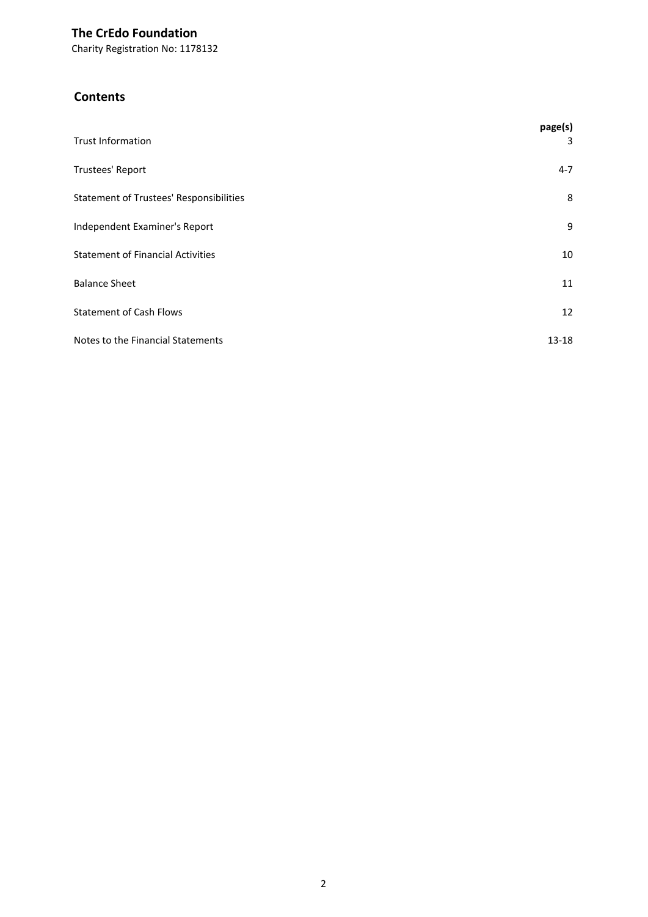Charity Registration No: 1178132

## **Contents**

| <b>Trust Information</b>                       | page(s)<br>3 |
|------------------------------------------------|--------------|
| Trustees' Report                               | $4 - 7$      |
| <b>Statement of Trustees' Responsibilities</b> | 8            |
| Independent Examiner's Report                  | 9            |
| <b>Statement of Financial Activities</b>       | 10           |
| <b>Balance Sheet</b>                           | 11           |
| <b>Statement of Cash Flows</b>                 | 12           |
| Notes to the Financial Statements              | $13 - 18$    |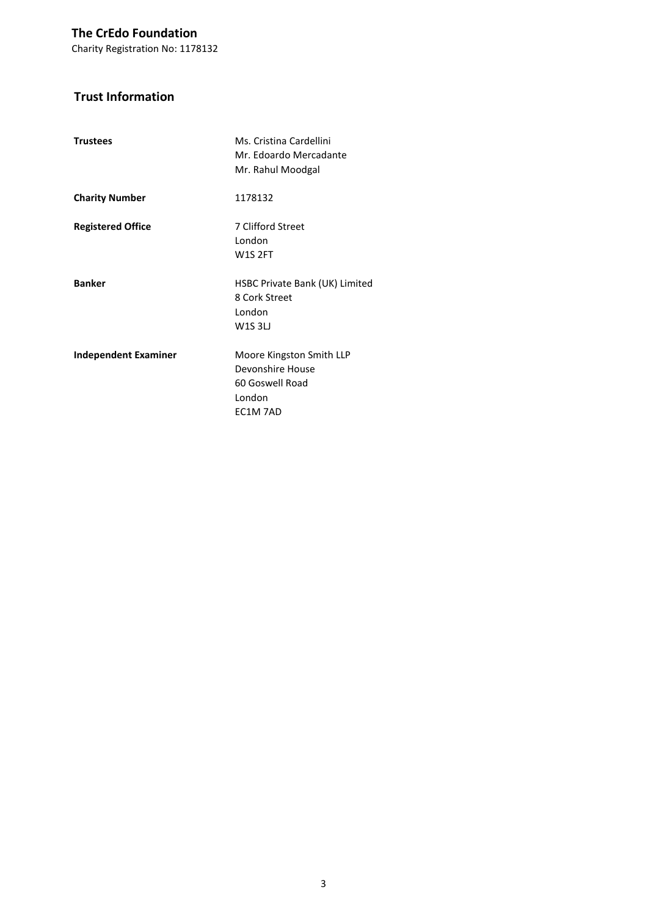Charity Registration No: 1178132

## **Trust Information**

| <b>Trustees</b>             | Ms. Cristina Cardellini<br>Mr. Edoardo Mercadante<br>Mr. Rahul Moodgal                |
|-----------------------------|---------------------------------------------------------------------------------------|
| <b>Charity Number</b>       | 1178132                                                                               |
| <b>Registered Office</b>    | 7 Clifford Street<br>London<br><b>W1S 2FT</b>                                         |
| <b>Banker</b>               | HSBC Private Bank (UK) Limited<br>8 Cork Street<br>London<br>W1S3L                    |
| <b>Independent Examiner</b> | Moore Kingston Smith LLP<br>Devonshire House<br>60 Goswell Road<br>London<br>EC1M 7AD |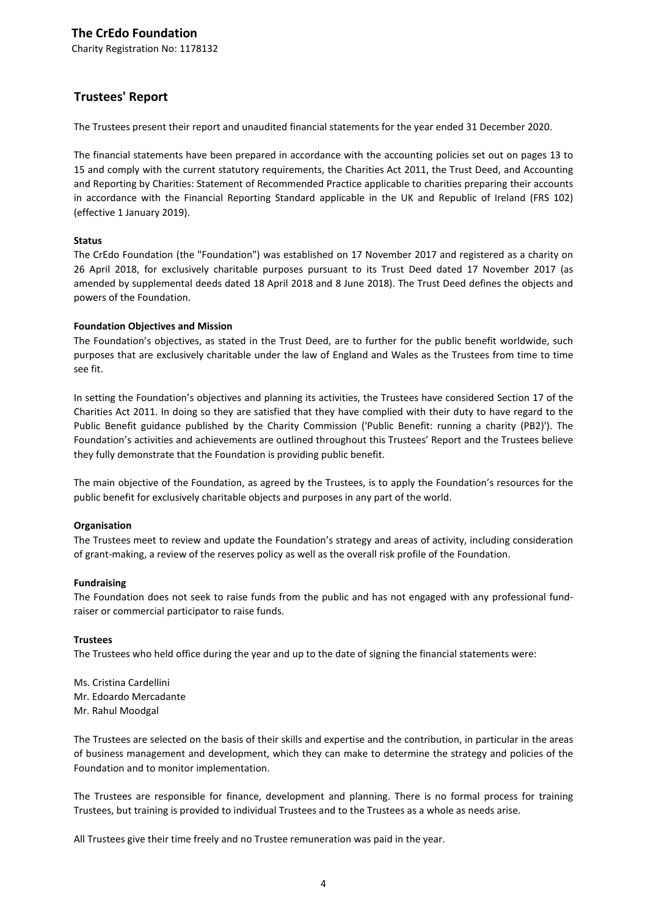Charity Registration No: 1178132

## **Trustees' Report**

The Trustees present their report and unaudited financial statements for the year ended 31 December 2020.

The financial statements have been prepared in accordance with the accounting policies set out on pages 13 to 15 and comply with the current statutory requirements, the Charities Act 2011, the Trust Deed, and Accounting and Reporting by Charities: Statement of Recommended Practice applicable to charities preparing their accounts in accordance with the Financial Reporting Standard applicable in the UK and Republic of Ireland (FRS 102) (effective 1 January 2019).

### **Status**

The CrEdo Foundation (the "Foundation") was established on 17 November 2017 and registered as a charity on 26 April 2018, for exclusively charitable purposes pursuant to its Trust Deed dated 17 November 2017 (as amended by supplemental deeds dated 18 April 2018 and 8 June 2018). The Trust Deed defines the objects and powers of the Foundation.

#### **Foundation Objectives and Mission**

The Foundation's objectives, as stated in the Trust Deed, are to further for the public benefit worldwide, such purposes that are exclusively charitable under the law of England and Wales as the Trustees from time to time see fit.

In setting the Foundation's objectives and planning its activities, the Trustees have considered Section 17 of the Charities Act 2011. In doing so they are satisfied that they have complied with their duty to have regard to the Public Benefit guidance published by the Charity Commission ('Public Benefit: running a charity (PB2)'). The Foundation's activities and achievements are outlined throughout this Trustees' Report and the Trustees believe they fully demonstrate that the Foundation is providing public benefit.

The main objective of the Foundation, as agreed by the Trustees, is to apply the Foundation's resources for the public benefit for exclusively charitable objects and purposes in any part of the world.

### **Organisation**

The Trustees meet to review and update the Foundation's strategy and areas of activity, including consideration of grant-making, a review of the reserves policy as well as the overall risk profile of the Foundation.

#### **Fundraising**

The Foundation does not seek to raise funds from the public and has not engaged with any professional fundraiser or commercial participator to raise funds.

#### **Trustees**

The Trustees who held office during the year and up to the date of signing the financial statements were:

Ms. Cristina Cardellini Mr. Edoardo Mercadante Mr. Rahul Moodgal

The Trustees are selected on the basis of their skills and expertise and the contribution, in particular in the areas of business management and development, which they can make to determine the strategy and policies of the Foundation and to monitor implementation.

The Trustees are responsible for finance, development and planning. There is no formal process for training Trustees, but training is provided to individual Trustees and to the Trustees as a whole as needs arise.

All Trustees give their time freely and no Trustee remuneration was paid in the year.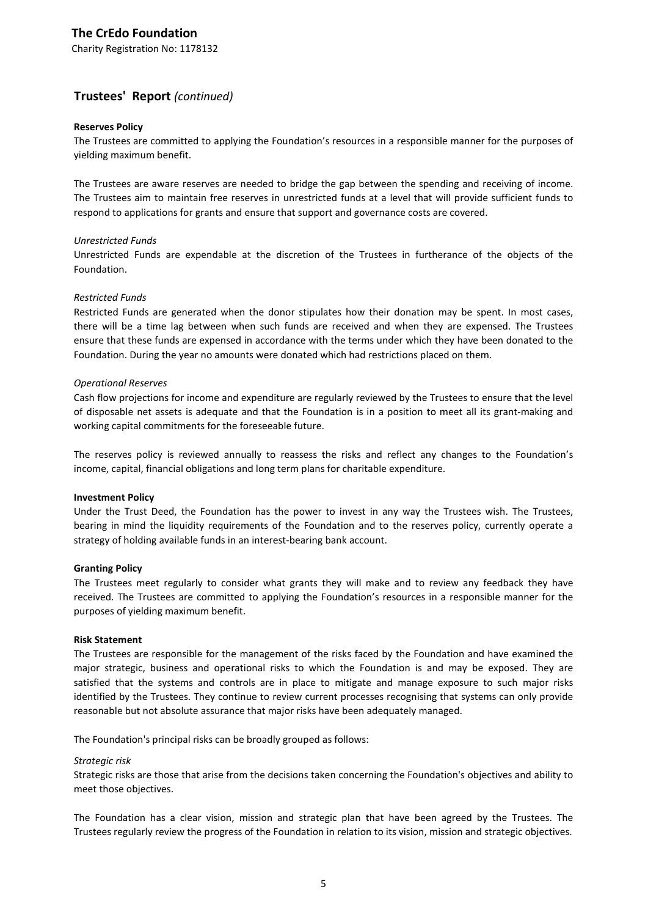Charity Registration No: 1178132

## **Trustees' Report** *(continued)*

#### **Reserves Policy**

The Trustees are committed to applying the Foundation's resources in a responsible manner for the purposes of yielding maximum benefit.

The Trustees are aware reserves are needed to bridge the gap between the spending and receiving of income. The Trustees aim to maintain free reserves in unrestricted funds at a level that will provide sufficient funds to respond to applications for grants and ensure that support and governance costs are covered.

#### *Unrestricted Funds*

Unrestricted Funds are expendable at the discretion of the Trustees in furtherance of the objects of the Foundation.

#### *Restricted Funds*

Restricted Funds are generated when the donor stipulates how their donation may be spent. In most cases, there will be a time lag between when such funds are received and when they are expensed. The Trustees ensure that these funds are expensed in accordance with the terms under which they have been donated to the Foundation. During the year no amounts were donated which had restrictions placed on them.

#### *Operational Reserves*

Cash flow projections for income and expenditure are regularly reviewed by the Trustees to ensure that the level of disposable net assets is adequate and that the Foundation is in a position to meet all its grant-making and working capital commitments for the foreseeable future.

The reserves policy is reviewed annually to reassess the risks and reflect any changes to the Foundation's income, capital, financial obligations and long term plans for charitable expenditure.

#### **Investment Policy**

Under the Trust Deed, the Foundation has the power to invest in any way the Trustees wish. The Trustees, bearing in mind the liquidity requirements of the Foundation and to the reserves policy, currently operate a strategy of holding available funds in an interest-bearing bank account.

#### **Granting Policy**

The Trustees meet regularly to consider what grants they will make and to review any feedback they have received. The Trustees are committed to applying the Foundation's resources in a responsible manner for the purposes of yielding maximum benefit.

#### **Risk Statement**

The Trustees are responsible for the management of the risks faced by the Foundation and have examined the major strategic, business and operational risks to which the Foundation is and may be exposed. They are satisfied that the systems and controls are in place to mitigate and manage exposure to such major risks identified by the Trustees. They continue to review current processes recognising that systems can only provide reasonable but not absolute assurance that major risks have been adequately managed.

The Foundation's principal risks can be broadly grouped as follows:

#### *Strategic risk*

Strategic risks are those that arise from the decisions taken concerning the Foundation's objectives and ability to meet those objectives.

The Foundation has a clear vision, mission and strategic plan that have been agreed by the Trustees. The Trustees regularly review the progress of the Foundation in relation to its vision, mission and strategic objectives.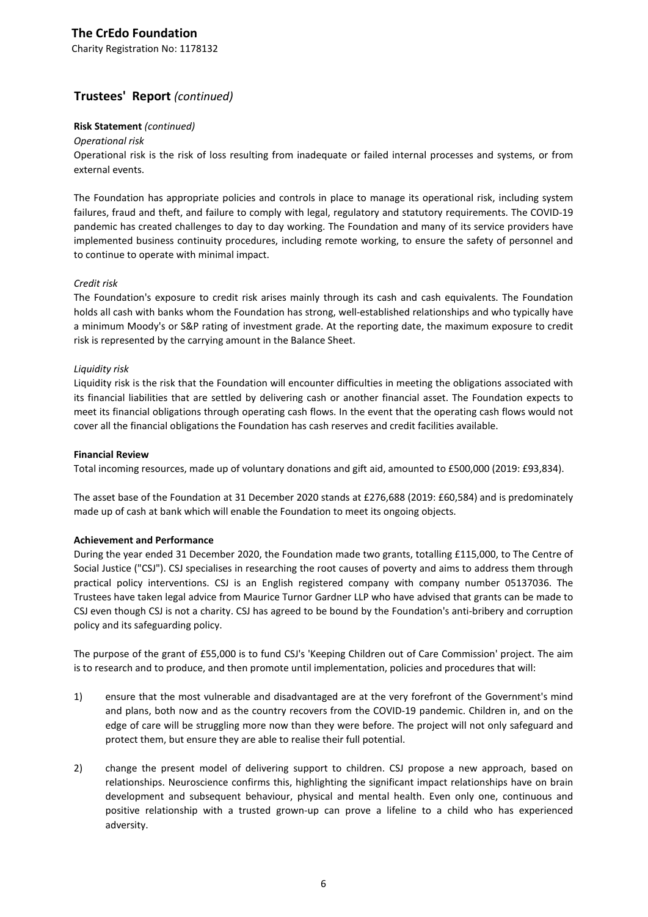Charity Registration No: 1178132

## **Trustees' Report** *(continued)*

### **Risk Statement** *(continued)*

#### *Operational risk*

Operational risk is the risk of loss resulting from inadequate or failed internal processes and systems, or from external events.

The Foundation has appropriate policies and controls in place to manage its operational risk, including system failures, fraud and theft, and failure to comply with legal, regulatory and statutory requirements. The COVID-19 pandemic has created challenges to day to day working. The Foundation and many of its service providers have implemented business continuity procedures, including remote working, to ensure the safety of personnel and to continue to operate with minimal impact.

### *Credit risk*

The Foundation's exposure to credit risk arises mainly through its cash and cash equivalents. The Foundation holds all cash with banks whom the Foundation has strong, well-established relationships and who typically have a minimum Moody's or S&P rating of investment grade. At the reporting date, the maximum exposure to credit risk is represented by the carrying amount in the Balance Sheet.

#### *Liquidity risk*

Liquidity risk is the risk that the Foundation will encounter difficulties in meeting the obligations associated with its financial liabilities that are settled by delivering cash or another financial asset. The Foundation expects to meet its financial obligations through operating cash flows. In the event that the operating cash flows would not cover all the financial obligations the Foundation has cash reserves and credit facilities available.

#### **Financial Review**

Total incoming resources, made up of voluntary donations and gift aid, amounted to £500,000 (2019: £93,834).

The asset base of the Foundation at 31 December 2020 stands at £276,688 (2019: £60,584) and is predominately made up of cash at bank which will enable the Foundation to meet its ongoing objects.

#### **Achievement and Performance**

During the year ended 31 December 2020, the Foundation made two grants, totalling £115,000, to The Centre of Social Justice ("CSJ"). CSJ specialises in researching the root causes of poverty and aims to address them through practical policy interventions. CSJ is an English registered company with company number 05137036. The Trustees have taken legal advice from Maurice Turnor Gardner LLP who have advised that grants can be made to CSJ even though CSJ is not a charity. CSJ has agreed to be bound by the Foundation's anti-bribery and corruption policy and its safeguarding policy.

The purpose of the grant of £55,000 is to fund CSJ's 'Keeping Children out of Care Commission' project. The aim is to research and to produce, and then promote until implementation, policies and procedures that will:

- 1) ensure that the most vulnerable and disadvantaged are at the very forefront of the Government's mind and plans, both now and as the country recovers from the COVID-19 pandemic. Children in, and on the edge of care will be struggling more now than they were before. The project will not only safeguard and protect them, but ensure they are able to realise their full potential.
- 2) change the present model of delivering support to children. CSJ propose a new approach, based on relationships. Neuroscience confirms this, highlighting the significant impact relationships have on brain development and subsequent behaviour, physical and mental health. Even only one, continuous and positive relationship with a trusted grown-up can prove a lifeline to a child who has experienced adversity.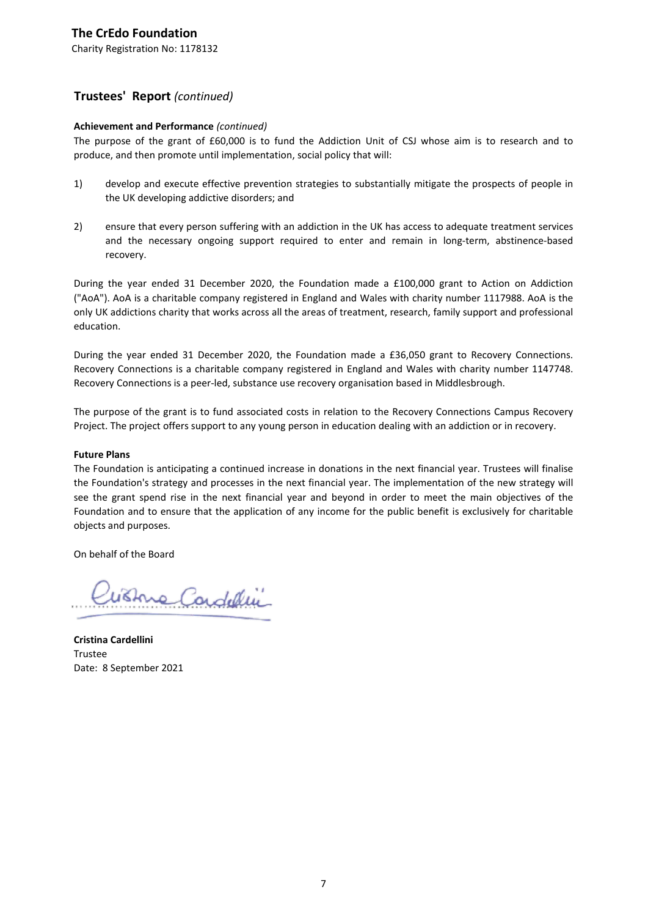Charity Registration No: 1178132

## **Trustees' Report** *(continued)*

## **Achievement and Performance** *(continued)*

The purpose of the grant of £60,000 is to fund the Addiction Unit of CSJ whose aim is to research and to produce, and then promote until implementation, social policy that will:

- 1) develop and execute effective prevention strategies to substantially mitigate the prospects of people in the UK developing addictive disorders; and
- 2) ensure that every person suffering with an addiction in the UK has access to adequate treatment services and the necessary ongoing support required to enter and remain in long-term, abstinence-based recovery.

During the year ended 31 December 2020, the Foundation made a £100,000 grant to Action on Addiction ("AoA"). AoA is a charitable company registered in England and Wales with charity number 1117988. AoA is the only UK addictions charity that works across all the areas of treatment, research, family support and professional education.

During the year ended 31 December 2020, the Foundation made a £36,050 grant to Recovery Connections. Recovery Connections is a charitable company registered in England and Wales with charity number 1147748. Recovery Connections is a peer-led, substance use recovery organisation based in Middlesbrough.

The purpose of the grant is to fund associated costs in relation to the Recovery Connections Campus Recovery Project. The project offers support to any young person in education dealing with an addiction or in recovery.

### **Future Plans**

The Foundation is anticipating a continued increase in donations in the next financial year. Trustees will finalise the Foundation's strategy and processes in the next financial year. The implementation of the new strategy will see the grant spend rise in the next financial year and beyond in order to meet the main objectives of the Foundation and to ensure that the application of any income for the public benefit is exclusively for charitable objects and purposes.

On behalf of the Board

Wishue Condellin

**Cristina Cardellini** Trustee Date: 8 September 2021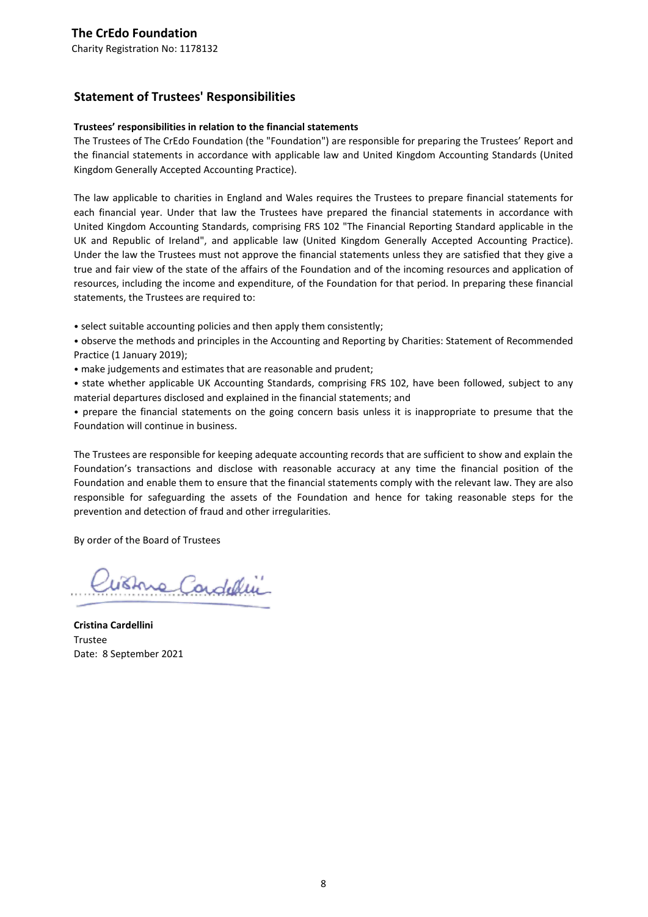## **Statement of Trustees' Responsibilities**

### **Trustees' responsibilities in relation to the financial statements**

The Trustees of The CrEdo Foundation (the "Foundation") are responsible for preparing the Trustees' Report and the financial statements in accordance with applicable law and United Kingdom Accounting Standards (United Kingdom Generally Accepted Accounting Practice).

The law applicable to charities in England and Wales requires the Trustees to prepare financial statements for each financial year. Under that law the Trustees have prepared the financial statements in accordance with United Kingdom Accounting Standards, comprising FRS 102 "The Financial Reporting Standard applicable in the UK and Republic of Ireland", and applicable law (United Kingdom Generally Accepted Accounting Practice). Under the law the Trustees must not approve the financial statements unless they are satisfied that they give a true and fair view of the state of the affairs of the Foundation and of the incoming resources and application of resources, including the income and expenditure, of the Foundation for that period. In preparing these financial statements, the Trustees are required to:

• select suitable accounting policies and then apply them consistently;

- observe the methods and principles in the Accounting and Reporting by Charities: Statement of Recommended Practice (1 January 2019);
- make judgements and estimates that are reasonable and prudent;
- state whether applicable UK Accounting Standards, comprising FRS 102, have been followed, subject to any material departures disclosed and explained in the financial statements; and

• prepare the financial statements on the going concern basis unless it is inappropriate to presume that the Foundation will continue in business.

The Trustees are responsible for keeping adequate accounting records that are sufficient to show and explain the Foundation's transactions and disclose with reasonable accuracy at any time the financial position of the Foundation and enable them to ensure that the financial statements comply with the relevant law. They are also responsible for safeguarding the assets of the Foundation and hence for taking reasonable steps for the prevention and detection of fraud and other irregularities.

By order of the Board of Trustees

Withre Cardellin

**Cristina Cardellini** Trustee Date: 8 September 2021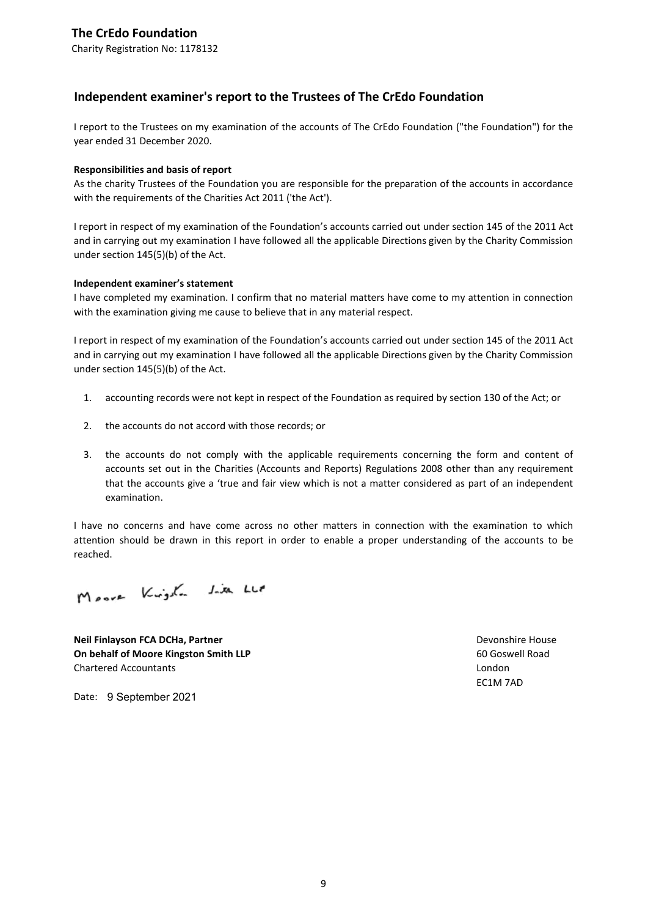Charity Registration No: 1178132

## **Independent examiner's report to the Trustees of The CrEdo Foundation**

I report to the Trustees on my examination of the accounts of The CrEdo Foundation ("the Foundation") for the year ended 31 December 2020.

### **Responsibilities and basis of report**

As the charity Trustees of the Foundation you are responsible for the preparation of the accounts in accordance with the requirements of the Charities Act 2011 ('the Act').

I report in respect of my examination of the Foundation's accounts carried out under section 145 of the 2011 Act and in carrying out my examination I have followed all the applicable Directions given by the Charity Commission under section 145(5)(b) of the Act.

### **Independent examiner's statement**

I have completed my examination. I confirm that no material matters have come to my attention in connection with the examination giving me cause to believe that in any material respect.

I report in respect of my examination of the Foundation's accounts carried out under section 145 of the 2011 Act and in carrying out my examination I have followed all the applicable Directions given by the Charity Commission under section 145(5)(b) of the Act.

- 1. accounting records were not kept in respect of the Foundation as required by section 130 of the Act; or
- 2. the accounts do not accord with those records; or
- 3. the accounts do not comply with the applicable requirements concerning the form and content of accounts set out in the Charities (Accounts and Reports) Regulations 2008 other than any requirement that the accounts give a 'true and fair view which is not a matter considered as part of an independent examination.

I have no concerns and have come across no other matters in connection with the examination to which attention should be drawn in this report in order to enable a proper understanding of the accounts to be reached.

Moore Kingdon Jim Lup

**Neil Finlayson FCA DCHa, Partner New State of Case of Case of Case of Case of Case of Case of Case of Case of Case of Case of Case of Case of Case of Case of Case of Case of Case of Case of Case of Case of Case of Case On behalf of Moore Kingston Smith LLP** 60 Goswell Road Chartered Accountants London

EC1M 7AD

Date: 9 September 2021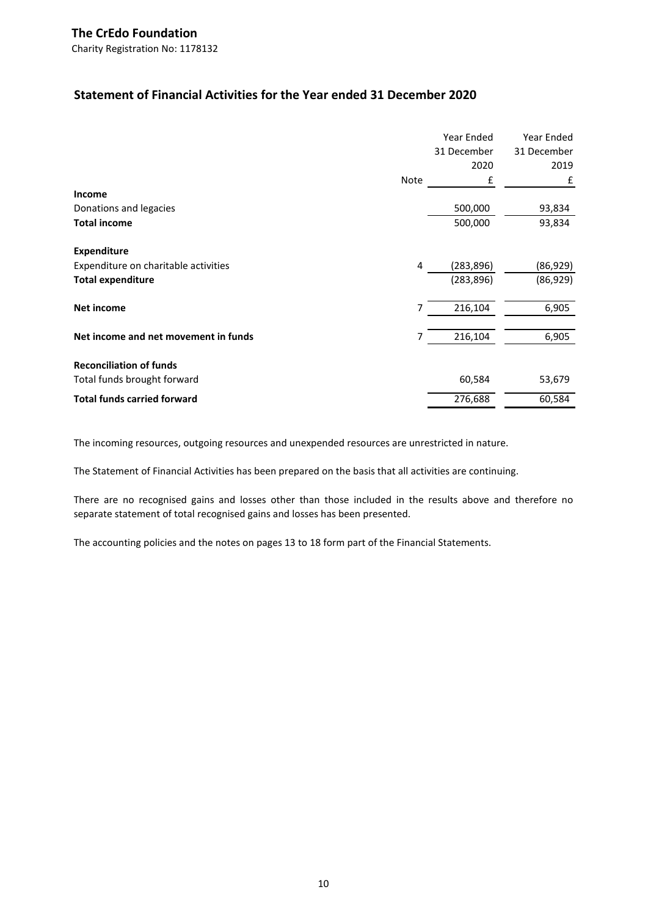Charity Registration No: 1178132

## **Statement of Financial Activities for the Year ended 31 December 2020**

|                                      |      | Year Ended  | Year Ended  |
|--------------------------------------|------|-------------|-------------|
|                                      |      | 31 December | 31 December |
|                                      |      | 2020        | 2019        |
|                                      | Note | £           | £           |
| Income                               |      |             |             |
| Donations and legacies               |      | 500,000     | 93,834      |
| <b>Total income</b>                  |      | 500,000     | 93,834      |
| <b>Expenditure</b>                   |      |             |             |
| Expenditure on charitable activities | 4    | (283, 896)  | (86, 929)   |
| <b>Total expenditure</b>             |      | (283, 896)  | (86, 929)   |
| <b>Net income</b>                    | 7    | 216,104     | 6,905       |
| Net income and net movement in funds | 7    | 216,104     | 6,905       |
| <b>Reconciliation of funds</b>       |      |             |             |
| Total funds brought forward          |      | 60,584      | 53,679      |
| <b>Total funds carried forward</b>   |      | 276,688     | 60,584      |

The incoming resources, outgoing resources and unexpended resources are unrestricted in nature.

The Statement of Financial Activities has been prepared on the basis that all activities are continuing.

There are no recognised gains and losses other than those included in the results above and therefore no separate statement of total recognised gains and losses has been presented.

The accounting policies and the notes on pages 13 to 18 form part of the Financial Statements.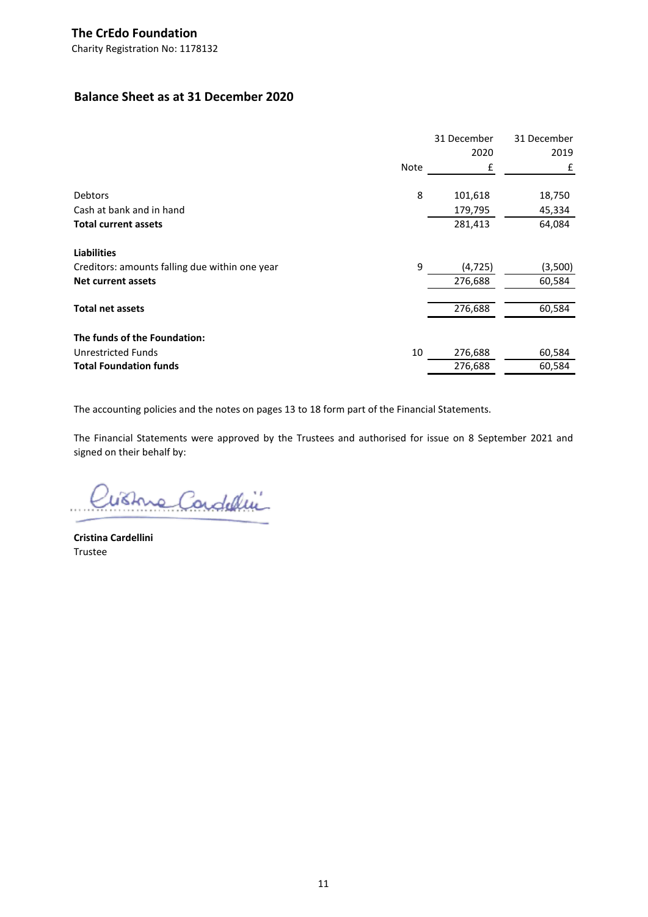## **Balance Sheet as at 31 December 2020**

|                                                |      | 31 December | 31 December |
|------------------------------------------------|------|-------------|-------------|
|                                                |      | 2020        | 2019        |
|                                                | Note | £           | £           |
| <b>Debtors</b>                                 | 8    | 101,618     | 18,750      |
| Cash at bank and in hand                       |      | 179,795     | 45,334      |
| <b>Total current assets</b>                    |      | 281,413     | 64,084      |
| <b>Liabilities</b>                             |      |             |             |
| Creditors: amounts falling due within one year | 9    | (4, 725)    | (3,500)     |
| <b>Net current assets</b>                      |      | 276,688     | 60,584      |
| <b>Total net assets</b>                        |      | 276,688     | 60,584      |
| The funds of the Foundation:                   |      |             |             |
| Unrestricted Funds                             | 10   | 276,688     | 60,584      |
| <b>Total Foundation funds</b>                  |      | 276,688     | 60,584      |

The accounting policies and the notes on pages 13 to 18 form part of the Financial Statements.

The Financial Statements were approved by the Trustees and authorised for issue on 8 September 2021 and signed on their behalf by:

Wishue Condellin

**Cristina Cardellini** Trustee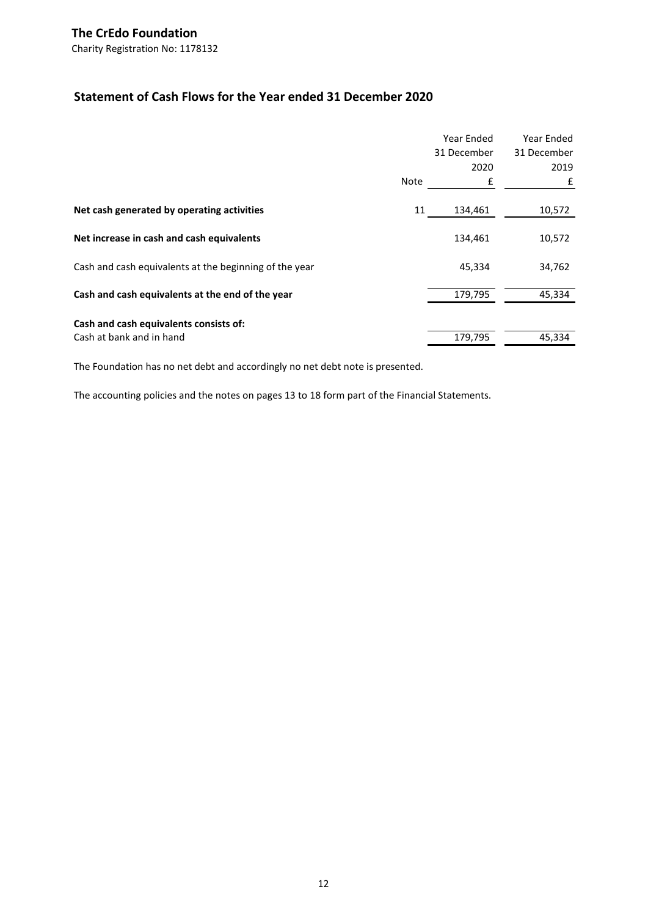## **Statement of Cash Flows for the Year ended 31 December 2020**

|                                                        | Note | Year Ended<br>31 December<br>2020<br>£ | Year Ended<br>31 December<br>2019<br>£ |
|--------------------------------------------------------|------|----------------------------------------|----------------------------------------|
| Net cash generated by operating activities             | 11   | 134,461                                | 10,572                                 |
| Net increase in cash and cash equivalents              |      | 134,461                                | 10,572                                 |
| Cash and cash equivalents at the beginning of the year |      | 45,334                                 | 34,762                                 |
| Cash and cash equivalents at the end of the year       |      | 179,795                                | 45,334                                 |
| Cash and cash equivalents consists of:                 |      |                                        |                                        |
| Cash at bank and in hand                               |      | 179,795                                | 45,334                                 |

The Foundation has no net debt and accordingly no net debt note is presented.

The accounting policies and the notes on pages 13 to 18 form part of the Financial Statements.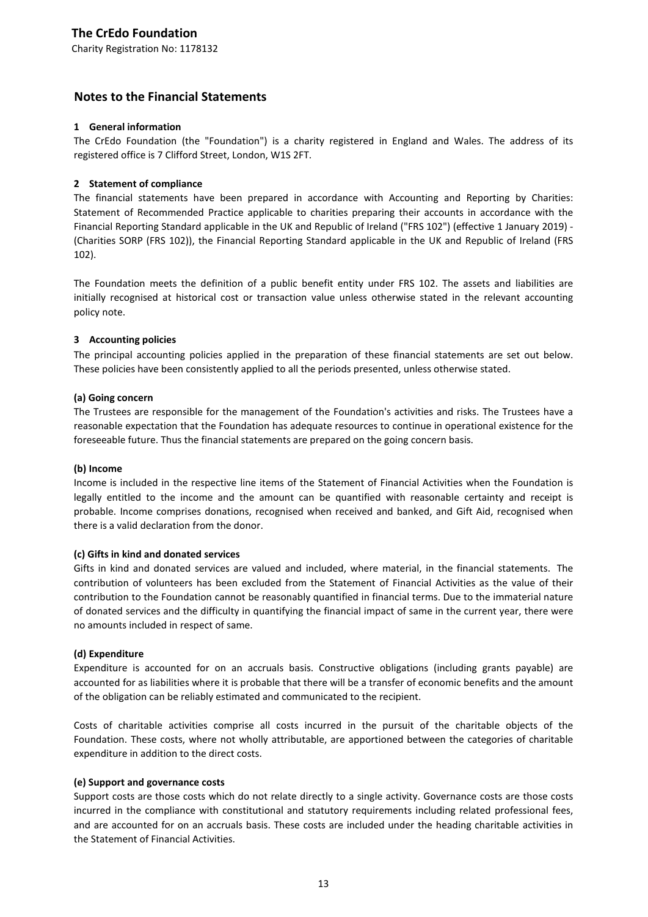Charity Registration No: 1178132

## **Notes to the Financial Statements**

### **1 General information**

The CrEdo Foundation (the "Foundation") is a charity registered in England and Wales. The address of its registered office is 7 Clifford Street, London, W1S 2FT.

### **2 Statement of compliance**

The financial statements have been prepared in accordance with Accounting and Reporting by Charities: Statement of Recommended Practice applicable to charities preparing their accounts in accordance with the Financial Reporting Standard applicable in the UK and Republic of Ireland ("FRS 102") (effective 1 January 2019) - (Charities SORP (FRS 102)), the Financial Reporting Standard applicable in the UK and Republic of Ireland (FRS 102).

The Foundation meets the definition of a public benefit entity under FRS 102. The assets and liabilities are initially recognised at historical cost or transaction value unless otherwise stated in the relevant accounting policy note.

### **3 Accounting policies**

The principal accounting policies applied in the preparation of these financial statements are set out below. These policies have been consistently applied to all the periods presented, unless otherwise stated.

### **(a) Going concern**

The Trustees are responsible for the management of the Foundation's activities and risks. The Trustees have a reasonable expectation that the Foundation has adequate resources to continue in operational existence for the foreseeable future. Thus the financial statements are prepared on the going concern basis.

### **(b) Income**

Income is included in the respective line items of the Statement of Financial Activities when the Foundation is legally entitled to the income and the amount can be quantified with reasonable certainty and receipt is probable. Income comprises donations, recognised when received and banked, and Gift Aid, recognised when there is a valid declaration from the donor.

### **(c) Gifts in kind and donated services**

Gifts in kind and donated services are valued and included, where material, in the financial statements. The contribution of volunteers has been excluded from the Statement of Financial Activities as the value of their contribution to the Foundation cannot be reasonably quantified in financial terms. Due to the immaterial nature of donated services and the difficulty in quantifying the financial impact of same in the current year, there were no amounts included in respect of same.

## **(d) Expenditure**

Expenditure is accounted for on an accruals basis. Constructive obligations (including grants payable) are accounted for as liabilities where it is probable that there will be a transfer of economic benefits and the amount of the obligation can be reliably estimated and communicated to the recipient.

Costs of charitable activities comprise all costs incurred in the pursuit of the charitable objects of the Foundation. These costs, where not wholly attributable, are apportioned between the categories of charitable expenditure in addition to the direct costs.

## **(e) Support and governance costs**

Support costs are those costs which do not relate directly to a single activity. Governance costs are those costs incurred in the compliance with constitutional and statutory requirements including related professional fees, and are accounted for on an accruals basis. These costs are included under the heading charitable activities in the Statement of Financial Activities.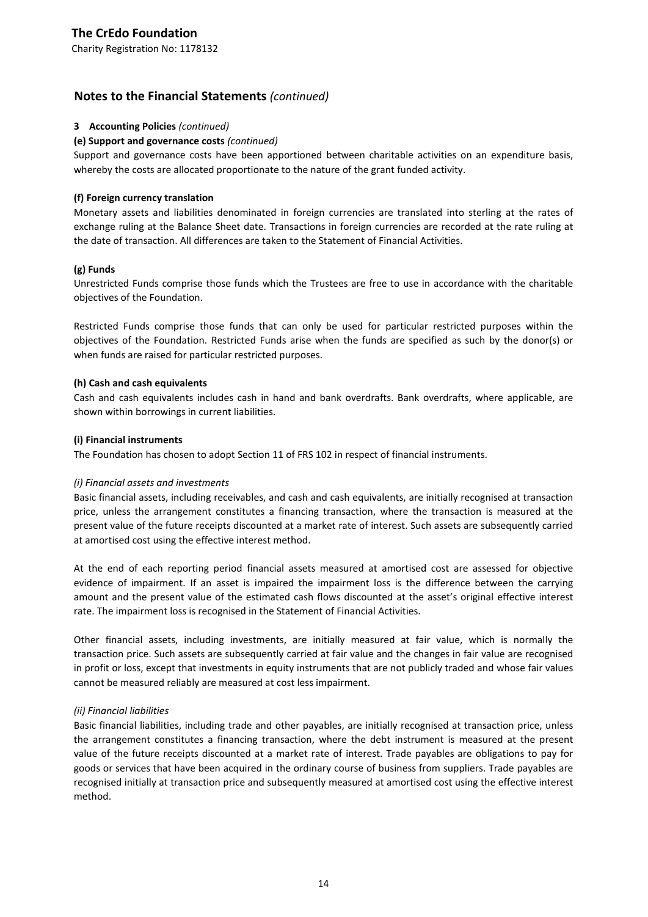Charity Registration No: 1178132

## **Notes to the Financial Statements** *(continued)*

### **3 Accounting Policies** *(continued)*

### **(e) Support and governance costs** *(continued)*

Support and governance costs have been apportioned between charitable activities on an expenditure basis, whereby the costs are allocated proportionate to the nature of the grant funded activity.

### **(f) Foreign currency translation**

Monetary assets and liabilities denominated in foreign currencies are translated into sterling at the rates of exchange ruling at the Balance Sheet date. Transactions in foreign currencies are recorded at the rate ruling at the date of transaction. All differences are taken to the Statement of Financial Activities.

### **(g) Funds**

Unrestricted Funds comprise those funds which the Trustees are free to use in accordance with the charitable objectives of the Foundation.

Restricted Funds comprise those funds that can only be used for particular restricted purposes within the objectives of the Foundation. Restricted Funds arise when the funds are specified as such by the donor(s) or when funds are raised for particular restricted purposes.

### **(h) Cash and cash equivalents**

Cash and cash equivalents includes cash in hand and bank overdrafts. Bank overdrafts, where applicable, are shown within borrowings in current liabilities.

### **(i) Financial instruments**

The Foundation has chosen to adopt Section 11 of FRS 102 in respect of financial instruments.

### *(i) Financial assets and investments*

Basic financial assets, including receivables, and cash and cash equivalents, are initially recognised at transaction price, unless the arrangement constitutes a financing transaction, where the transaction is measured at the present value of the future receipts discounted at a market rate of interest. Such assets are subsequently carried at amortised cost using the effective interest method.

At the end of each reporting period financial assets measured at amortised cost are assessed for objective evidence of impairment. If an asset is impaired the impairment loss is the difference between the carrying amount and the present value of the estimated cash flows discounted at the asset's original effective interest rate. The impairment loss is recognised in the Statement of Financial Activities.

Other financial assets, including investments, are initially measured at fair value, which is normally the transaction price. Such assets are subsequently carried at fair value and the changes in fair value are recognised in profit or loss, except that investments in equity instruments that are not publicly traded and whose fair values cannot be measured reliably are measured at cost less impairment.

### *(ii) Financial liabilities*

Basic financial liabilities, including trade and other payables, are initially recognised at transaction price, unless the arrangement constitutes a financing transaction, where the debt instrument is measured at the present value of the future receipts discounted at a market rate of interest. Trade payables are obligations to pay for goods or services that have been acquired in the ordinary course of business from suppliers. Trade payables are recognised initially at transaction price and subsequently measured at amortised cost using the effective interest method.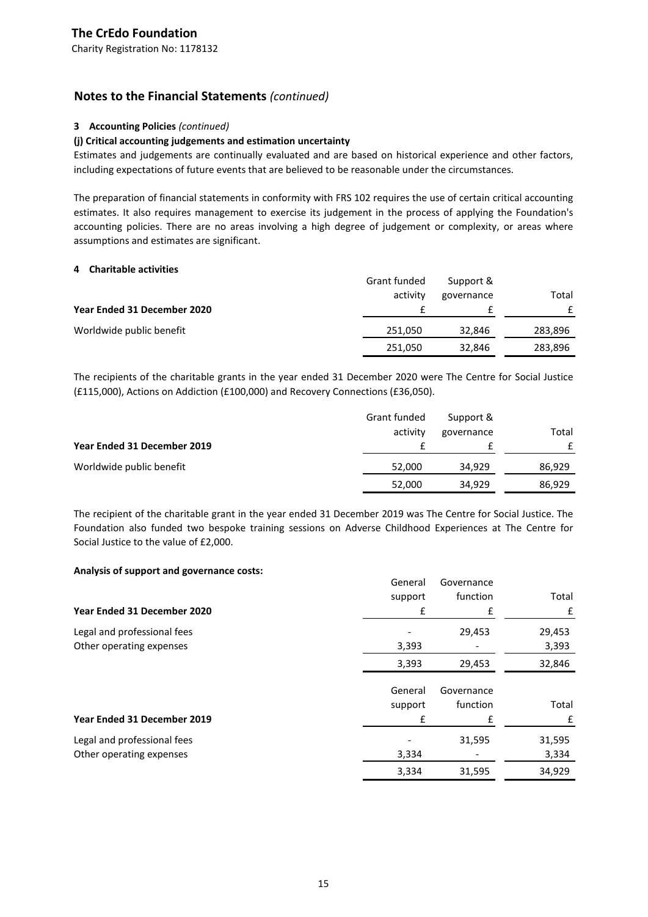## **Notes to the Financial Statements** *(continued)*

## **3 Accounting Policies** *(continued)*

### **(j) Critical accounting judgements and estimation uncertainty**

Estimates and judgements are continually evaluated and are based on historical experience and other factors, including expectations of future events that are believed to be reasonable under the circumstances.

The preparation of financial statements in conformity with FRS 102 requires the use of certain critical accounting estimates. It also requires management to exercise its judgement in the process of applying the Foundation's accounting policies. There are no areas involving a high degree of judgement or complexity, or areas where assumptions and estimates are significant.

### **4 Charitable activities**

|                             | Grant funded | Support &  |         |
|-----------------------------|--------------|------------|---------|
|                             | activity     | governance | Total   |
| Year Ended 31 December 2020 |              |            |         |
| Worldwide public benefit    | 251,050      | 32.846     | 283,896 |
|                             | 251,050      | 32,846     | 283,896 |

The recipients of the charitable grants in the year ended 31 December 2020 were The Centre for Social Justice (£115,000), Actions on Addiction (£100,000) and Recovery Connections (£36,050).

|                             | Grant funded<br>activity | Support &<br>governance | Total  |
|-----------------------------|--------------------------|-------------------------|--------|
| Year Ended 31 December 2019 |                          |                         | £      |
| Worldwide public benefit    | 52,000                   | 34,929                  | 86,929 |
|                             | 52,000                   | 34,929                  | 86,929 |

The recipient of the charitable grant in the year ended 31 December 2019 was The Centre for Social Justice. The Foundation also funded two bespoke training sessions on Adverse Childhood Experiences at The Centre for Social Justice to the value of £2,000.

### **Analysis of support and governance costs:**

|                             | General | Governance |        |
|-----------------------------|---------|------------|--------|
|                             | support | function   | Total  |
| Year Ended 31 December 2020 | £       | £          | £      |
| Legal and professional fees |         | 29,453     | 29,453 |
| Other operating expenses    | 3,393   |            | 3,393  |
|                             | 3,393   | 29,453     | 32,846 |
|                             | General | Governance |        |
|                             | support | function   | Total  |
| Year Ended 31 December 2019 | £       | £          | £      |
| Legal and professional fees |         | 31,595     | 31,595 |
| Other operating expenses    | 3,334   |            | 3,334  |
|                             | 3,334   | 31,595     | 34,929 |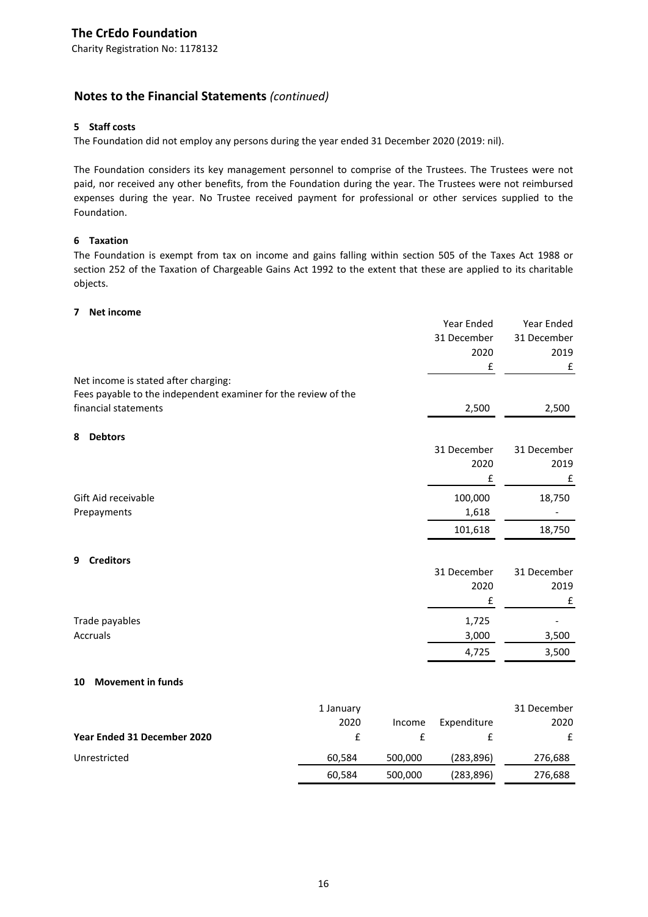## **Notes to the Financial Statements** *(continued)*

## **5 Staff costs**

The Foundation did not employ any persons during the year ended 31 December 2020 (2019: nil).

The Foundation considers its key management personnel to comprise of the Trustees. The Trustees were not paid, nor received any other benefits, from the Foundation during the year. The Trustees were not reimbursed expenses during the year. No Trustee received payment for professional or other services supplied to the Foundation.

## **6 Taxation**

The Foundation is exempt from tax on income and gains falling within section 505 of the Taxes Act 1988 or section 252 of the Taxation of Chargeable Gains Act 1992 to the extent that these are applied to its charitable objects.

### **7 Net income**

|                                                                |           |         | Year Ended  | Year Ended  |
|----------------------------------------------------------------|-----------|---------|-------------|-------------|
|                                                                |           |         | 31 December | 31 December |
|                                                                |           |         | 2020        | 2019        |
|                                                                |           |         | £           | £           |
| Net income is stated after charging:                           |           |         |             |             |
| Fees payable to the independent examiner for the review of the |           |         |             |             |
| financial statements                                           |           |         | 2,500       | 2,500       |
| <b>Debtors</b><br>8                                            |           |         |             |             |
|                                                                |           |         | 31 December | 31 December |
|                                                                |           |         | 2020        | 2019        |
|                                                                |           |         | £           | £           |
| Gift Aid receivable                                            |           |         | 100,000     | 18,750      |
| Prepayments                                                    |           |         | 1,618       |             |
|                                                                |           |         | 101,618     | 18,750      |
| <b>Creditors</b><br>9                                          |           |         |             |             |
|                                                                |           |         | 31 December | 31 December |
|                                                                |           |         | 2020        | 2019        |
|                                                                |           |         | £           | £           |
| Trade payables                                                 |           |         | 1,725       |             |
| Accruals                                                       |           |         | 3,000       | 3,500       |
|                                                                |           |         | 4,725       | 3,500       |
| <b>Movement in funds</b><br>10                                 |           |         |             |             |
|                                                                |           |         |             |             |
|                                                                | 1 January |         |             | 31 December |
|                                                                | 2020      | Income  | Expenditure | 2020        |
| Year Ended 31 December 2020                                    | £         | £       | £           | £           |
| Unrestricted                                                   | 60,584    | 500,000 | (283, 896)  | 276,688     |

60,584 500,000 (283,896) 276,688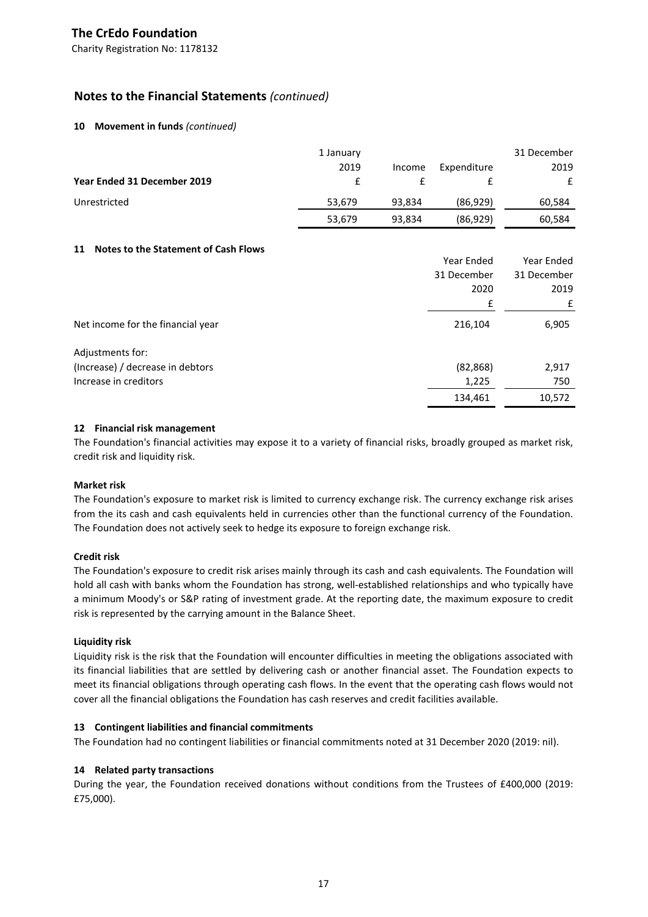Charity Registration No: 1178132

## **Notes to the Financial Statements** *(continued)*

### **10 Movement in funds** *(continued)*

|                             | 1 January |        |             | 31 December |
|-----------------------------|-----------|--------|-------------|-------------|
|                             | 2019      | Income | Expenditure | 2019        |
| Year Ended 31 December 2019 |           |        |             | £           |
| Unrestricted                | 53,679    | 93.834 | (86, 929)   | 60,584      |
|                             | 53,679    | 93,834 | (86, 929)   | 60,584      |

### **11 Notes to the Statement of Cash Flows**

|                                   | Year Ended  | Year Ended  |
|-----------------------------------|-------------|-------------|
|                                   | 31 December | 31 December |
|                                   | 2020        | 2019        |
|                                   | £           | £           |
| Net income for the financial year | 216,104     | 6,905       |
| Adjustments for:                  |             |             |
| (Increase) / decrease in debtors  | (82, 868)   | 2,917       |
| Increase in creditors             | 1,225       | 750         |
|                                   | 134,461     | 10,572      |

### **12 Financial risk management**

The Foundation's financial activities may expose it to a variety of financial risks, broadly grouped as market risk, credit risk and liquidity risk.

### **Market risk**

The Foundation's exposure to market risk is limited to currency exchange risk. The currency exchange risk arises from the its cash and cash equivalents held in currencies other than the functional currency of the Foundation. The Foundation does not actively seek to hedge its exposure to foreign exchange risk.

### **Credit risk**

The Foundation's exposure to credit risk arises mainly through its cash and cash equivalents. The Foundation will hold all cash with banks whom the Foundation has strong, well-established relationships and who typically have a minimum Moody's or S&P rating of investment grade. At the reporting date, the maximum exposure to credit risk is represented by the carrying amount in the Balance Sheet.

### **Liquidity risk**

Liquidity risk is the risk that the Foundation will encounter difficulties in meeting the obligations associated with its financial liabilities that are settled by delivering cash or another financial asset. The Foundation expects to meet its financial obligations through operating cash flows. In the event that the operating cash flows would not cover all the financial obligations the Foundation has cash reserves and credit facilities available.

### **13 Contingent liabilities and financial commitments**

The Foundation had no contingent liabilities or financial commitments noted at 31 December 2020 (2019: nil).

### **14 Related party transactions**

During the year, the Foundation received donations without conditions from the Trustees of £400,000 (2019: £75,000).